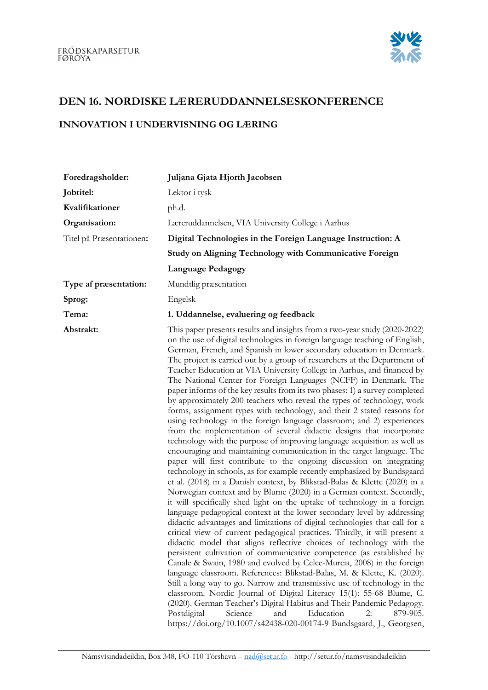

## DEN 16. NORDISKE LÆRERUDDANNELSESKONFERENCE

## INNOVATION I UNDERVISNING OG LÆRING

| Foredragsholder:         | Juljana Gjata Hjorth Jacobsen                                                                                                                                                                                                                                                                                                                                                                                                                                                                                                                                                                                                                                                                                                                                                                                                                                                                                                                                                                                                                                                                                                                                                                                                                                                                                                                                                                                                                                                                                                                                                                                                                                                                                                                                                                                                                                                                                                                                                                                                                                                                                                                                                                                                                                                                                  |
|--------------------------|----------------------------------------------------------------------------------------------------------------------------------------------------------------------------------------------------------------------------------------------------------------------------------------------------------------------------------------------------------------------------------------------------------------------------------------------------------------------------------------------------------------------------------------------------------------------------------------------------------------------------------------------------------------------------------------------------------------------------------------------------------------------------------------------------------------------------------------------------------------------------------------------------------------------------------------------------------------------------------------------------------------------------------------------------------------------------------------------------------------------------------------------------------------------------------------------------------------------------------------------------------------------------------------------------------------------------------------------------------------------------------------------------------------------------------------------------------------------------------------------------------------------------------------------------------------------------------------------------------------------------------------------------------------------------------------------------------------------------------------------------------------------------------------------------------------------------------------------------------------------------------------------------------------------------------------------------------------------------------------------------------------------------------------------------------------------------------------------------------------------------------------------------------------------------------------------------------------------------------------------------------------------------------------------------------------|
| Jobtitel:                | Lektor i tysk                                                                                                                                                                                                                                                                                                                                                                                                                                                                                                                                                                                                                                                                                                                                                                                                                                                                                                                                                                                                                                                                                                                                                                                                                                                                                                                                                                                                                                                                                                                                                                                                                                                                                                                                                                                                                                                                                                                                                                                                                                                                                                                                                                                                                                                                                                  |
| Kvalifikationer          | ph.d.                                                                                                                                                                                                                                                                                                                                                                                                                                                                                                                                                                                                                                                                                                                                                                                                                                                                                                                                                                                                                                                                                                                                                                                                                                                                                                                                                                                                                                                                                                                                                                                                                                                                                                                                                                                                                                                                                                                                                                                                                                                                                                                                                                                                                                                                                                          |
| Organisation:            | Læreruddannelsen, VIA University College i Aarhus                                                                                                                                                                                                                                                                                                                                                                                                                                                                                                                                                                                                                                                                                                                                                                                                                                                                                                                                                                                                                                                                                                                                                                                                                                                                                                                                                                                                                                                                                                                                                                                                                                                                                                                                                                                                                                                                                                                                                                                                                                                                                                                                                                                                                                                              |
| Titel på Præsentationen: | Digital Technologies in the Foreign Language Instruction: A                                                                                                                                                                                                                                                                                                                                                                                                                                                                                                                                                                                                                                                                                                                                                                                                                                                                                                                                                                                                                                                                                                                                                                                                                                                                                                                                                                                                                                                                                                                                                                                                                                                                                                                                                                                                                                                                                                                                                                                                                                                                                                                                                                                                                                                    |
|                          | Study on Aligning Technology with Communicative Foreign                                                                                                                                                                                                                                                                                                                                                                                                                                                                                                                                                                                                                                                                                                                                                                                                                                                                                                                                                                                                                                                                                                                                                                                                                                                                                                                                                                                                                                                                                                                                                                                                                                                                                                                                                                                                                                                                                                                                                                                                                                                                                                                                                                                                                                                        |
|                          | <b>Language Pedagogy</b>                                                                                                                                                                                                                                                                                                                                                                                                                                                                                                                                                                                                                                                                                                                                                                                                                                                                                                                                                                                                                                                                                                                                                                                                                                                                                                                                                                                                                                                                                                                                                                                                                                                                                                                                                                                                                                                                                                                                                                                                                                                                                                                                                                                                                                                                                       |
| Type af præsentation:    | Mundtlig præsentation                                                                                                                                                                                                                                                                                                                                                                                                                                                                                                                                                                                                                                                                                                                                                                                                                                                                                                                                                                                                                                                                                                                                                                                                                                                                                                                                                                                                                                                                                                                                                                                                                                                                                                                                                                                                                                                                                                                                                                                                                                                                                                                                                                                                                                                                                          |
| Sprog:                   | Engelsk                                                                                                                                                                                                                                                                                                                                                                                                                                                                                                                                                                                                                                                                                                                                                                                                                                                                                                                                                                                                                                                                                                                                                                                                                                                                                                                                                                                                                                                                                                                                                                                                                                                                                                                                                                                                                                                                                                                                                                                                                                                                                                                                                                                                                                                                                                        |
| Tema:                    | 1. Uddannelse, evaluering og feedback                                                                                                                                                                                                                                                                                                                                                                                                                                                                                                                                                                                                                                                                                                                                                                                                                                                                                                                                                                                                                                                                                                                                                                                                                                                                                                                                                                                                                                                                                                                                                                                                                                                                                                                                                                                                                                                                                                                                                                                                                                                                                                                                                                                                                                                                          |
| Abstrakt:                | This paper presents results and insights from a two-year study (2020-2022)<br>on the use of digital technologies in foreign language teaching of English,<br>German, French, and Spanish in lower secondary education in Denmark.<br>The project is carried out by a group of researchers at the Department of<br>Teacher Education at VIA University College in Aarhus, and financed by<br>The National Center for Foreign Languages (NCFF) in Denmark. The<br>paper informs of the key results from its two phases: 1) a survey completed<br>by approximately 200 teachers who reveal the types of technology, work<br>forms, assignment types with technology, and their 2 stated reasons for<br>using technology in the foreign language classroom; and 2) experiences<br>from the implementation of several didactic designs that incorporate<br>technology with the purpose of improving language acquisition as well as<br>encouraging and maintaining communication in the target language. The<br>paper will first contribute to the ongoing discussion on integrating<br>technology in schools, as for example recently emphasized by Bundsgaard<br>et al. (2018) in a Danish context, by Blikstad-Balas & Klette (2020) in a<br>Norwegian context and by Blume (2020) in a German context. Secondly,<br>it will specifically shed light on the uptake of technology in a foreign<br>language pedagogical context at the lower secondary level by addressing<br>didactic advantages and limitations of digital technologies that call for a<br>critical view of current pedagogical practices. Thirdly, it will present a<br>didactic model that aligns reflective choices of technology with the<br>persistent cultivation of communicative competence (as established by<br>Canale & Swain, 1980 and evolved by Celce-Murcia, 2008) in the foreign<br>language classroom. References: Blikstad-Balas, M. & Klette, K. (2020).<br>Still a long way to go. Narrow and transmissive use of technology in the<br>classroom. Nordic Journal of Digital Literacy 15(1): 55-68 Blume, C.<br>(2020). German Teacher's Digital Habitus and Their Pandemic Pedagogy.<br>Postdigital<br>Science<br>and<br>Education<br>2:<br>879-905.<br>https://doi.org/10.1007/s42438-020-00174-9 Bundsgaard, J., Georgsen, |